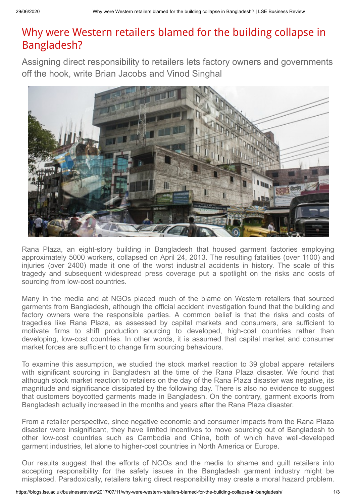## Why were Western retailers blamed for the building collapse in Bangladesh?

Assigning direct responsibility to retailers lets factory owners and governments off the hook, write Brian Jacobs and Vinod Singhal



Rana Plaza, an eight-story building in Bangladesh that housed garment factories employing approximately 5000 workers, collapsed on April 24, 2013. The resulting fatalities (over 1100) and injuries (over 2400) made it one of the worst industrial accidents in history. The scale of this tragedy and subsequent widespread press coverage put a spotlight on the risks and costs of sourcing from low-cost countries.

Many in the media and at NGOs placed much of the blame on Western retailers that sourced garments from Bangladesh, although the official accident investigation found that the building and factory owners were the responsible parties. A common belief is that the risks and costs of tragedies like Rana Plaza, as assessed by capital markets and consumers, are sufficient to motivate firms to shift production sourcing to developed, high-cost countries rather than developing, low-cost countries. In other words, it is assumed that capital market and consumer market forces are sufficient to change firm sourcing behaviours.

To examine this assumption, we studied the stock market reaction to 39 global apparel retailers with significant sourcing in Bangladesh at the time of the Rana Plaza disaster. We found that although stock market reaction to retailers on the day of the Rana Plaza disaster was negative, its magnitude and significance dissipated by the following day. There is also no evidence to suggest that customers boycotted garments made in Bangladesh. On the contrary, garment exports from Bangladesh actually increased in the months and years after the Rana Plaza disaster.

From a retailer perspective, since negative economic and consumer impacts from the Rana Plaza disaster were insignificant, they have limited incentives to move sourcing out of Bangladesh to other low-cost countries such as Cambodia and China, both of which have well-developed garment industries, let alone to higher-cost countries in North America or Europe.

Our results suggest that the efforts of NGOs and the media to shame and guilt retailers into accepting responsibility for the safety issues in the Bangladesh garment industry might be misplaced. Paradoxically, retailers taking direct responsibility may create a moral hazard problem.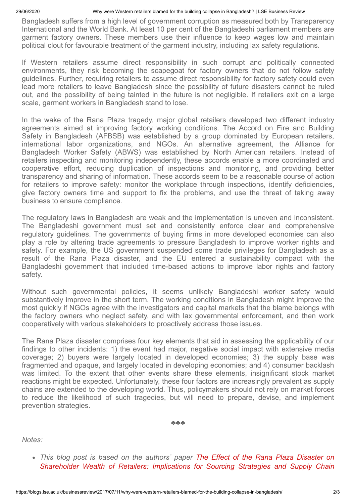## 29/06/2020 Why were Western retailers blamed for the building collapse in Bangladesh? | LSE Business Review

Bangladesh suffers from a high level of government corruption as measured both by Transparency International and the World Bank. At least 10 per cent of the Bangladeshi parliament members are garment factory owners. These members use their influence to keep wages low and maintain political clout for favourable treatment of the garment industry, including lax safety regulations.

If Western retailers assume direct responsibility in such corrupt and politically connected environments, they risk becoming the scapegoat for factory owners that do not follow safety guidelines. Further, requiring retailers to assume direct responsibility for factory safety could even lead more retailers to leave Bangladesh since the possibility of future disasters cannot be ruled out, and the possibility of being tainted in the future is not negligible. If retailers exit on a large scale, garment workers in Bangladesh stand to lose.

In the wake of the Rana Plaza tragedy, major global retailers developed two different industry agreements aimed at improving factory working conditions. The Accord on Fire and Building Safety in Bangladesh (AFBSB) was established by a group dominated by European retailers, international labor organizations, and NGOs. An alternative agreement, the Alliance for Bangladesh Worker Safety (ABWS) was established by North American retailers. Instead of retailers inspecting and monitoring independently, these accords enable a more coordinated and cooperative effort, reducing duplication of inspections and monitoring, and providing better transparency and sharing of information. These accords seem to be a reasonable course of action for retailers to improve safety: monitor the workplace through inspections, identify deficiencies, give factory owners time and support to fix the problems, and use the threat of taking away business to ensure compliance.

The regulatory laws in Bangladesh are weak and the implementation is uneven and inconsistent. The Bangladeshi government must set and consistently enforce clear and comprehensive regulatory guidelines. The governments of buying firms in more developed economies can also play a role by altering trade agreements to pressure Bangladesh to improve worker rights and safety. For example, the US government suspended some trade privileges for Bangladesh as a result of the Rana Plaza disaster, and the EU entered a sustainability compact with the Bangladeshi government that included time-based actions to improve labor rights and factory safety.

Without such governmental policies, it seems unlikely Bangladeshi worker safety would substantively improve in the short term. The working conditions in Bangladesh might improve the most quickly if NGOs agree with the investigators and capital markets that the blame belongs with the factory owners who neglect safety, and with lax governmental enforcement, and then work cooperatively with various stakeholders to proactively address those issues.

The Rana Plaza disaster comprises four key elements that aid in assessing the applicability of our findings to other incidents: 1) the event had major, negative social impact with extensive media coverage; 2) buyers were largely located in developed economies; 3) the supply base was fragmented and opaque, and largely located in developing economies; and 4) consumer backlash was limited. To the extent that other events share these elements, insignificant stock market reactions might be expected. Unfortunately, these four factors are increasingly prevalent as supply chains are extended to the developing world. Thus, policymakers should not rely on market forces to reduce the likelihood of such tragedies, but will need to prepare, devise, and implement prevention strategies.

♣♣♣

*Notes:*

*This blog [post is based on the authors' paper The Effect of the Rana Plaza Disaster on](http://www.sciencedirect.com/science/article/pii/S0272696317300098) Shareholder Wealth of Retailers: Implications for Sourcing Strategies and Supply Chain*